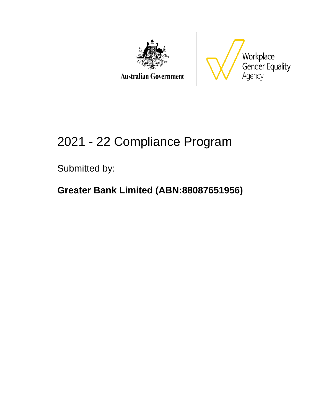

**Australian Government** 



# 2021 - 22 Compliance Program

Submitted by:

## **Greater Bank Limited (ABN:88087651956)**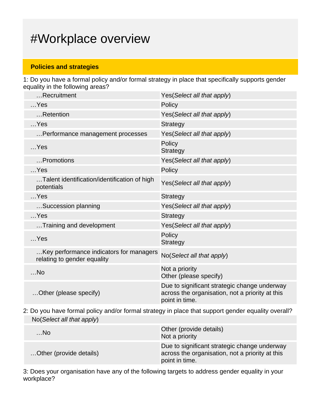## #Workplace overview

#### **Policies and strategies**

1: Do you have a formal policy and/or formal strategy in place that specifically supports gender equality in the following areas?

| Recruitment                                                            | Yes (Select all that apply)                                                                                       |
|------------------------------------------------------------------------|-------------------------------------------------------------------------------------------------------------------|
| $$ Yes                                                                 | Policy                                                                                                            |
| Retention                                                              | Yes(Select all that apply)                                                                                        |
| $$ Yes                                                                 | <b>Strategy</b>                                                                                                   |
| Performance management processes                                       | Yes(Select all that apply)                                                                                        |
| $$ Yes                                                                 | Policy<br><b>Strategy</b>                                                                                         |
| Promotions                                                             | Yes (Select all that apply)                                                                                       |
| $$ Yes                                                                 | Policy                                                                                                            |
| Talent identification/identification of high<br>potentials             | Yes(Select all that apply)                                                                                        |
| $$ Yes                                                                 | <b>Strategy</b>                                                                                                   |
| Succession planning                                                    | Yes (Select all that apply)                                                                                       |
| $$ Yes                                                                 | <b>Strategy</b>                                                                                                   |
| Training and development                                               | Yes(Select all that apply)                                                                                        |
| $$ Yes                                                                 | Policy<br><b>Strategy</b>                                                                                         |
| Key performance indicators for managers<br>relating to gender equality | No(Select all that apply)                                                                                         |
| $$ No                                                                  | Not a priority<br>Other (please specify)                                                                          |
| Other (please specify)                                                 | Due to significant strategic change underway<br>across the organisation, not a priority at this<br>point in time. |

2: Do you have formal policy and/or formal strategy in place that support gender equality overall? No(Select all that apply)

| $$ No                   | Other (provide details)<br>Not a priority                                                                         |
|-------------------------|-------------------------------------------------------------------------------------------------------------------|
| Other (provide details) | Due to significant strategic change underway<br>across the organisation, not a priority at this<br>point in time. |

3: Does your organisation have any of the following targets to address gender equality in your workplace?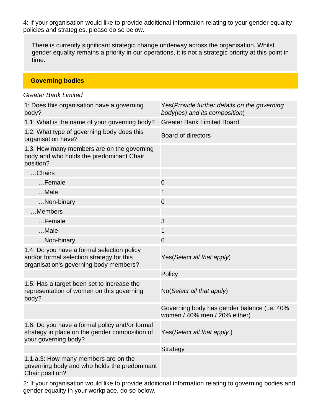4: If your organisation would like to provide additional information relating to your gender equality policies and strategies, please do so below.

There is currently significant strategic change underway across the organisation. Whilst gender equality remains a priority in our operations, it is not a strategic priority at this point in time.

**Governing bodies**

| <b>Greater Bank Limited</b>                                                                                                       |                                                                                 |  |  |
|-----------------------------------------------------------------------------------------------------------------------------------|---------------------------------------------------------------------------------|--|--|
| 1: Does this organisation have a governing<br>body?                                                                               | Yes (Provide further details on the governing<br>body(ies) and its composition) |  |  |
| 1.1: What is the name of your governing body?                                                                                     | <b>Greater Bank Limited Board</b>                                               |  |  |
| 1.2: What type of governing body does this<br>organisation have?                                                                  | <b>Board of directors</b>                                                       |  |  |
| 1.3: How many members are on the governing<br>body and who holds the predominant Chair<br>position?                               |                                                                                 |  |  |
| Chairs                                                                                                                            |                                                                                 |  |  |
| Female                                                                                                                            | $\mathbf 0$                                                                     |  |  |
| Male                                                                                                                              | 1                                                                               |  |  |
| Non-binary                                                                                                                        | $\mathbf 0$                                                                     |  |  |
| Members                                                                                                                           |                                                                                 |  |  |
| Female                                                                                                                            | 3                                                                               |  |  |
| Male                                                                                                                              | 1                                                                               |  |  |
| Non-binary                                                                                                                        | $\overline{0}$                                                                  |  |  |
| 1.4: Do you have a formal selection policy<br>and/or formal selection strategy for this<br>organisation's governing body members? | Yes (Select all that apply)                                                     |  |  |
|                                                                                                                                   | Policy                                                                          |  |  |
| 1.5: Has a target been set to increase the<br>representation of women on this governing<br>body?                                  | No (Select all that apply)                                                      |  |  |
|                                                                                                                                   | Governing body has gender balance (i.e. 40%<br>women / 40% men / 20% either)    |  |  |
| 1.6: Do you have a formal policy and/or formal<br>strategy in place on the gender composition of<br>your governing body?          | Yes (Select all that apply.)                                                    |  |  |
|                                                                                                                                   | <b>Strategy</b>                                                                 |  |  |
| 1.1.a.3: How many members are on the<br>governing body and who holds the predominant<br>Chair position?                           |                                                                                 |  |  |

2: If your organisation would like to provide additional information relating to governing bodies and gender equality in your workplace, do so below.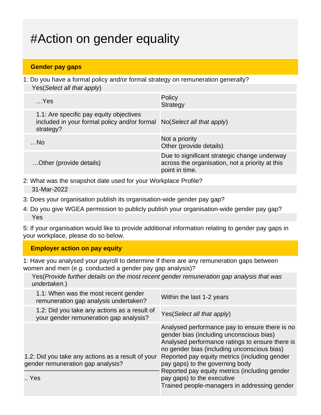# #Action on gender equality

#### **Gender pay gaps**

1: Do you have a formal policy and/or formal strategy on remuneration generally? Yes(Select all that apply)

| Yes                                                                                                                            | Policy<br><b>Strategy</b>                                                                                         |
|--------------------------------------------------------------------------------------------------------------------------------|-------------------------------------------------------------------------------------------------------------------|
| 1.1: Are specific pay equity objectives<br>included in your formal policy and/or formal No(Select all that apply)<br>strategy? |                                                                                                                   |
| …No                                                                                                                            | Not a priority<br>Other (provide details)                                                                         |
| Other (provide details)                                                                                                        | Due to significant strategic change underway<br>across the organisation, not a priority at this<br>point in time. |

- 2: What was the snapshot date used for your Workplace Profile? 31-Mar-2022
- 3: Does your organisation publish its organisation-wide gender pay gap?
- 4: Do you give WGEA permission to publicly publish your organisation-wide gender pay gap? Yes

5: If your organisation would like to provide additional information relating to gender pay gaps in your workplace, please do so below.

#### **Employer action on pay equity**

1: Have you analysed your payroll to determine if there are any remuneration gaps between women and men (e.g. conducted a gender pay gap analysis)?

Yes(Provide further details on the most recent gender remuneration gap analysis that was undertaken.)

| 1.1: When was the most recent gender<br>remuneration gap analysis undertaken?          | Within the last 1-2 years                                                                                                                                                                                                                                                                                                                                                                                       |
|----------------------------------------------------------------------------------------|-----------------------------------------------------------------------------------------------------------------------------------------------------------------------------------------------------------------------------------------------------------------------------------------------------------------------------------------------------------------------------------------------------------------|
| 1.2: Did you take any actions as a result of<br>your gender remuneration gap analysis? | Yes (Select all that apply)                                                                                                                                                                                                                                                                                                                                                                                     |
| 1.2: Did you take any actions as a result of your<br>gender remuneration gap analysis? | Analysed performance pay to ensure there is no<br>gender bias (including unconscious bias)<br>Analysed performance ratings to ensure there is<br>no gender bias (including unconscious bias)<br>Reported pay equity metrics (including gender<br>pay gaps) to the governing body<br>Reported pay equity metrics (including gender<br>pay gaps) to the executive<br>Trained people-managers in addressing gender |
| Yes                                                                                    |                                                                                                                                                                                                                                                                                                                                                                                                                 |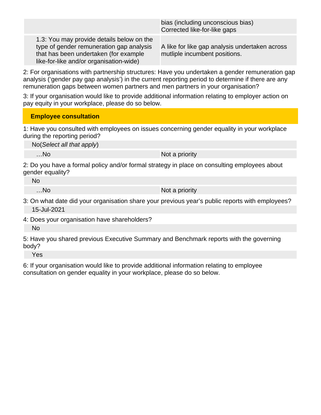|                                                                                                                                                                           | bias (including unconscious bias)<br>Corrected like-for-like gaps               |
|---------------------------------------------------------------------------------------------------------------------------------------------------------------------------|---------------------------------------------------------------------------------|
| 1.3: You may provide details below on the<br>type of gender remuneration gap analysis<br>that has been undertaken (for example<br>like-for-like and/or organisation-wide) | A like for like gap analysis undertaken across<br>mutliple incumbent positions. |

2: For organisations with partnership structures: Have you undertaken a gender remuneration gap analysis ('gender pay gap analysis') in the current reporting period to determine if there are any remuneration gaps between women partners and men partners in your organisation?

3: If your organisation would like to provide additional information relating to employer action on pay equity in your workplace, please do so below.

#### **Employee consultation**

1: Have you consulted with employees on issues concerning gender equality in your workplace during the reporting period?

No(Select all that apply)

...No Not a priority

2: Do you have a formal policy and/or formal strategy in place on consulting employees about gender equality?

No

…No not a priority

3: On what date did your organisation share your previous year's public reports with employees? 15-Jul-2021

4: Does your organisation have shareholders? No

5: Have you shared previous Executive Summary and Benchmark reports with the governing body?

Yes

6: If your organisation would like to provide additional information relating to employee consultation on gender equality in your workplace, please do so below.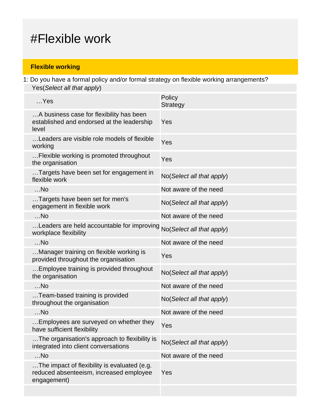## #Flexible work

#### **Flexible working**

1: Do you have a formal policy and/or formal strategy on flexible working arrangements? Yes(Select all that apply)

| $$ Yes                                                                                                 | Policy<br>Strategy        |
|--------------------------------------------------------------------------------------------------------|---------------------------|
| A business case for flexibility has been<br>established and endorsed at the leadership<br>level        | Yes                       |
| Leaders are visible role models of flexible<br>working                                                 | Yes                       |
| Flexible working is promoted throughout<br>the organisation                                            | Yes                       |
| Targets have been set for engagement in<br>flexible work                                               | No(Select all that apply) |
| $$ No                                                                                                  | Not aware of the need     |
| Targets have been set for men's<br>engagement in flexible work                                         | No(Select all that apply) |
| $$ No                                                                                                  | Not aware of the need     |
| Leaders are held accountable for improving<br>workplace flexibility                                    | No(Select all that apply) |
| $$ No                                                                                                  | Not aware of the need     |
| Manager training on flexible working is<br>provided throughout the organisation                        | Yes                       |
| Employee training is provided throughout<br>the organisation                                           | No(Select all that apply) |
| $$ No                                                                                                  | Not aware of the need     |
| Team-based training is provided<br>throughout the organisation                                         | No(Select all that apply) |
| $$ No                                                                                                  | Not aware of the need     |
| Employees are surveyed on whether they<br>have sufficient flexibility                                  | Yes                       |
| The organisation's approach to flexibility is<br>integrated into client conversations                  | No(Select all that apply) |
| $$ No                                                                                                  | Not aware of the need     |
| The impact of flexibility is evaluated (e.g.<br>reduced absenteeism, increased employee<br>engagement) | Yes                       |
|                                                                                                        |                           |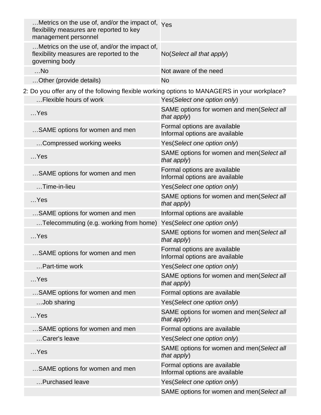| Metrics on the use of, and/or the impact of, $Y_{\text{ES}}$<br>flexibility measures are reported to key<br>management personnel |                                                                |
|----------------------------------------------------------------------------------------------------------------------------------|----------------------------------------------------------------|
| Metrics on the use of, and/or the impact of,<br>flexibility measures are reported to the<br>governing body                       | No (Select all that apply)                                     |
| $$ No                                                                                                                            | Not aware of the need                                          |
| Other (provide details)                                                                                                          | <b>No</b>                                                      |
| 2: Do you offer any of the following flexible working options to MANAGERS in your workplace?                                     |                                                                |
| Flexible hours of work                                                                                                           | Yes(Select one option only)                                    |
| $$ Yes                                                                                                                           | SAME options for women and men(Select all<br>that apply)       |
| SAME options for women and men                                                                                                   | Formal options are available<br>Informal options are available |
| Compressed working weeks                                                                                                         | Yes(Select one option only)                                    |
| $$ Yes                                                                                                                           | SAME options for women and men(Select all<br>that apply)       |
| SAME options for women and men                                                                                                   | Formal options are available<br>Informal options are available |
| $$ Time-in-lieu                                                                                                                  | Yes(Select one option only)                                    |
| $$ Yes                                                                                                                           | SAME options for women and men(Select all<br>that apply)       |
| SAME options for women and men                                                                                                   | Informal options are available                                 |
| Telecommuting (e.g. working from home)                                                                                           | Yes(Select one option only)                                    |
| $$ Yes                                                                                                                           | SAME options for women and men(Select all<br>that apply)       |
| SAME options for women and men                                                                                                   | Formal options are available<br>Informal options are available |
| Part-time work                                                                                                                   | Yes(Select one option only)                                    |
| $$ Yes                                                                                                                           | SAME options for women and men(Select all<br>that apply)       |
| SAME options for women and men                                                                                                   | Formal options are available                                   |
| Job sharing                                                                                                                      | Yes(Select one option only)                                    |
| $$ Yes                                                                                                                           | SAME options for women and men(Select all<br>that apply)       |
| SAME options for women and men                                                                                                   | Formal options are available                                   |
| Carer's leave                                                                                                                    | Yes(Select one option only)                                    |
| $$ Yes                                                                                                                           | SAME options for women and men(Select all<br>that apply)       |
| SAME options for women and men                                                                                                   | Formal options are available<br>Informal options are available |
| Purchased leave                                                                                                                  | Yes(Select one option only)                                    |
|                                                                                                                                  | SAME options for women and men(Select all                      |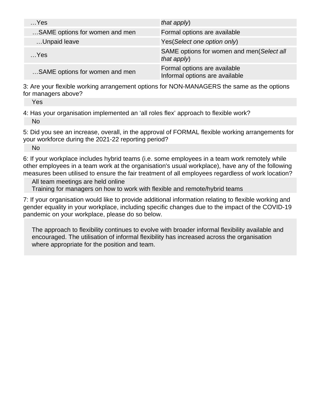| $$ Yes                         | that apply)                                                    |
|--------------------------------|----------------------------------------------------------------|
| SAME options for women and men | Formal options are available                                   |
| Unpaid leave                   | Yes (Select one option only)                                   |
| $$ Yes                         | SAME options for women and men(Select all<br>that $apply$ )    |
| SAME options for women and men | Formal options are available<br>Informal options are available |

3: Are your flexible working arrangement options for NON-MANAGERS the same as the options for managers above?

Yes

4: Has your organisation implemented an 'all roles flex' approach to flexible work? No

5: Did you see an increase, overall, in the approval of FORMAL flexible working arrangements for your workforce during the 2021-22 reporting period?

No

6: If your workplace includes hybrid teams (i.e. some employees in a team work remotely while other employees in a team work at the organisation's usual workplace), have any of the following measures been utilised to ensure the fair treatment of all employees regardless of work location?

All team meetings are held online Training for managers on how to work with flexible and remote/hybrid teams

7: If your organisation would like to provide additional information relating to flexible working and gender equality in your workplace, including specific changes due to the impact of the COVID-19 pandemic on your workplace, please do so below.

The approach to flexibility continues to evolve with broader informal flexibility available and encouraged. The utilisation of informal flexibility has increased across the organisation where appropriate for the position and team.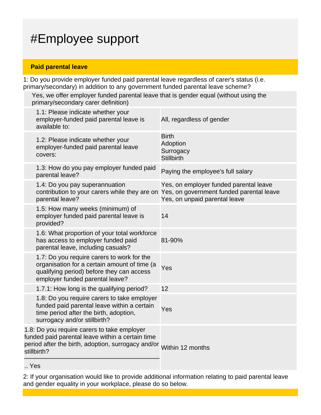# #Employee support

#### **Paid parental leave**

1: Do you provide employer funded paid parental leave regardless of carer's status (i.e. primary/secondary) in addition to any government funded parental leave scheme?

Yes, we offer employer funded parental leave that is gender equal (without using the primary/secondary carer definition)

| 1.1: Please indicate whether your<br>employer-funded paid parental leave is<br>available to:                                                                                          | All, regardless of gender                                               |
|---------------------------------------------------------------------------------------------------------------------------------------------------------------------------------------|-------------------------------------------------------------------------|
| 1.2: Please indicate whether your<br>employer-funded paid parental leave<br>covers:                                                                                                   | <b>Birth</b><br>Adoption<br>Surrogacy<br><b>Stillbirth</b>              |
| 1.3: How do you pay employer funded paid<br>parental leave?                                                                                                                           | Paying the employee's full salary                                       |
| 1.4: Do you pay superannuation<br>contribution to your carers while they are on Yes, on government funded parental leave<br>parental leave?                                           | Yes, on employer funded parental leave<br>Yes, on unpaid parental leave |
| 1.5: How many weeks (minimum) of<br>employer funded paid parental leave is<br>provided?                                                                                               | 14                                                                      |
| 1.6: What proportion of your total workforce<br>has access to employer funded paid<br>parental leave, including casuals?                                                              | 81-90%                                                                  |
| 1.7: Do you require carers to work for the<br>organisation for a certain amount of time (a<br>qualifying period) before they can access<br>employer funded parental leave?            | Yes                                                                     |
| 1.7.1: How long is the qualifying period?                                                                                                                                             | 12                                                                      |
| 1.8: Do you require carers to take employer<br>funded paid parental leave within a certain<br>time period after the birth, adoption,<br>surrogacy and/or stillbirth?                  | Yes                                                                     |
| 1.8: Do you require carers to take employer<br>funded paid parental leave within a certain time<br>period after the birth, adoption, surrogacy and/or Within 12 months<br>stillbirth? |                                                                         |
|                                                                                                                                                                                       |                                                                         |

.. Yes

2: If your organisation would like to provide additional information relating to paid parental leave and gender equality in your workplace, please do so below.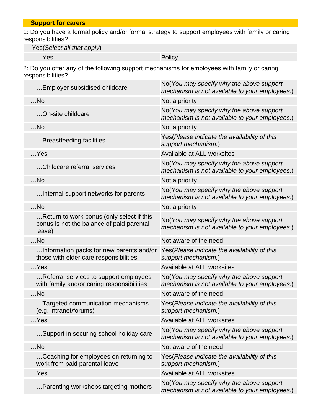**Support for carers**

1: Do you have a formal policy and/or formal strategy to support employees with family or caring responsibilities?

Yes(Select all that apply)

…Yes Policy

2: Do you offer any of the following support mechanisms for employees with family or caring responsibilities?

| Employer subsidised childcare                                                                    | No(You may specify why the above support<br>mechanism is not available to your employees.) |
|--------------------------------------------------------------------------------------------------|--------------------------------------------------------------------------------------------|
| $$ No                                                                                            | Not a priority                                                                             |
| On-site childcare                                                                                | No(You may specify why the above support<br>mechanism is not available to your employees.) |
| $$ No                                                                                            | Not a priority                                                                             |
| Breastfeeding facilities                                                                         | Yes (Please indicate the availability of this<br>support mechanism.)                       |
| $$ Yes                                                                                           | Available at ALL worksites                                                                 |
| Childcare referral services                                                                      | No(You may specify why the above support<br>mechanism is not available to your employees.) |
| $$ No                                                                                            | Not a priority                                                                             |
| Internal support networks for parents                                                            | No(You may specify why the above support<br>mechanism is not available to your employees.) |
| $$ No                                                                                            | Not a priority                                                                             |
| Return to work bonus (only select if this<br>bonus is not the balance of paid parental<br>leave) | No(You may specify why the above support<br>mechanism is not available to your employees.) |
| $$ No                                                                                            | Not aware of the need                                                                      |
| Information packs for new parents and/or<br>those with elder care responsibilities               | Yes(Please indicate the availability of this<br>support mechanism.)                        |
| $$ Yes                                                                                           | Available at ALL worksites                                                                 |
| Referral services to support employees<br>with family and/or caring responsibilities             | No(You may specify why the above support<br>mechanism is not available to your employees.) |
| $$ No                                                                                            | Not aware of the need                                                                      |
| Targeted communication mechanisms<br>(e.g. intranet/forums)                                      | Yes (Please indicate the availability of this<br>support mechanism.)                       |
| $$ Yes                                                                                           | Available at ALL worksites                                                                 |
| Support in securing school holiday care                                                          | No(You may specify why the above support<br>mechanism is not available to your employees.) |
| $$ No                                                                                            | Not aware of the need                                                                      |
| Coaching for employees on returning to<br>work from paid parental leave                          | Yes (Please indicate the availability of this<br>support mechanism.)                       |
| …Yes                                                                                             | Available at ALL worksites                                                                 |
| Parenting workshops targeting mothers                                                            | No(You may specify why the above support<br>mechanism is not available to your employees.) |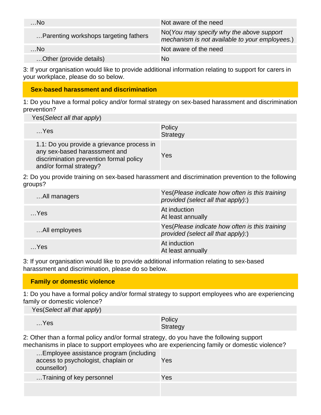| $$ No                                 | Not aware of the need                                                                      |
|---------------------------------------|--------------------------------------------------------------------------------------------|
| Parenting workshops targeting fathers | No(You may specify why the above support<br>mechanism is not available to your employees.) |
| $$ No                                 | Not aware of the need                                                                      |
| Other (provide details)               | No                                                                                         |

3: If your organisation would like to provide additional information relating to support for carers in your workplace, please do so below.

#### **Sex-based harassment and discrimination**

1: Do you have a formal policy and/or formal strategy on sex-based harassment and discrimination prevention?

Yes(Select all that apply)

| $$ Yes                                                                                                                                            | Policy<br>Strategy |
|---------------------------------------------------------------------------------------------------------------------------------------------------|--------------------|
| 1.1: Do you provide a grievance process in<br>any sex-based harasssment and<br>discrimination prevention formal policy<br>and/or formal strategy? | Yes                |

2: Do you provide training on sex-based harassment and discrimination prevention to the following groups?

| All managers  | Yes (Please indicate how often is this training<br>provided (select all that apply):) |
|---------------|---------------------------------------------------------------------------------------|
| $$ Yes        | At induction<br>At least annually                                                     |
| All employees | Yes (Please indicate how often is this training<br>provided (select all that apply):) |
| …Yes          | At induction<br>At least annually                                                     |

3: If your organisation would like to provide additional information relating to sex-based harassment and discrimination, please do so below.

#### **Family or domestic violence**

1: Do you have a formal policy and/or formal strategy to support employees who are experiencing family or domestic violence?

| Yes (Select all that apply) |                    |
|-----------------------------|--------------------|
| $$ Yes                      | Policy<br>Strategy |

2: Other than a formal policy and/or formal strategy, do you have the following support mechanisms in place to support employees who are experiencing family or domestic violence?

| Employee assistance program (including<br>access to psychologist, chaplain or<br>counsellor) | Yes |
|----------------------------------------------------------------------------------------------|-----|
| Training of key personnel                                                                    | Yes |
|                                                                                              |     |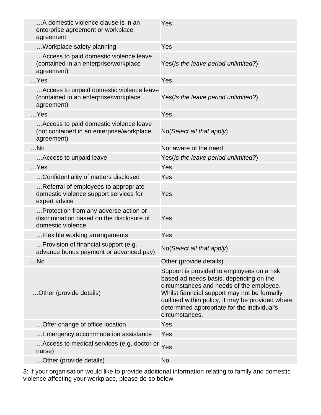| A domestic violence clause is in an<br>enterprise agreement or workplace<br>agreement                   | Yes                                                                                                                                                                                                                                                                                                   |
|---------------------------------------------------------------------------------------------------------|-------------------------------------------------------------------------------------------------------------------------------------------------------------------------------------------------------------------------------------------------------------------------------------------------------|
| Workplace safety planning                                                                               | Yes                                                                                                                                                                                                                                                                                                   |
| Access to paid domestic violence leave<br>(contained in an enterprise/workplace<br>agreement)           | Yes(Is the leave period unlimited?)                                                                                                                                                                                                                                                                   |
| $$ Yes                                                                                                  | Yes                                                                                                                                                                                                                                                                                                   |
| Access to unpaid domestic violence leave<br>(contained in an enterprise/workplace<br>agreement)         | Yes(Is the leave period unlimited?)                                                                                                                                                                                                                                                                   |
| $$ Yes                                                                                                  | Yes                                                                                                                                                                                                                                                                                                   |
| Access to paid domestic violence leave<br>(not contained in an enterprise/workplace<br>agreement)       | No(Select all that apply)                                                                                                                                                                                                                                                                             |
| $$ No                                                                                                   | Not aware of the need                                                                                                                                                                                                                                                                                 |
| Access to unpaid leave                                                                                  | Yes(Is the leave period unlimited?)                                                                                                                                                                                                                                                                   |
| $$ Yes                                                                                                  | Yes                                                                                                                                                                                                                                                                                                   |
| Confidentiality of matters disclosed                                                                    | Yes                                                                                                                                                                                                                                                                                                   |
| Referral of employees to appropriate<br>domestic violence support services for<br>expert advice         | Yes                                                                                                                                                                                                                                                                                                   |
| Protection from any adverse action or<br>discrimination based on the disclosure of<br>domestic violence | Yes                                                                                                                                                                                                                                                                                                   |
| Flexible working arrangements                                                                           | Yes                                                                                                                                                                                                                                                                                                   |
| Provision of financial support (e.g.<br>advance bonus payment or advanced pay)                          | No(Select all that apply)                                                                                                                                                                                                                                                                             |
| $$ No                                                                                                   | Other (provide details)                                                                                                                                                                                                                                                                               |
| Other (provide details)                                                                                 | Support is provided to employees on a risk<br>based ad needs basis, depending on the<br>circumstances and needs of the employee.<br>Whilst fianncial support may not be formally<br>outlined within policy, it may be provided where<br>determined appropriate for the individual's<br>circumstances. |
| Offer change of office location                                                                         | Yes                                                                                                                                                                                                                                                                                                   |
| Emergency accommodation assistance                                                                      | Yes                                                                                                                                                                                                                                                                                                   |
| Access to medical services (e.g. doctor or Yes<br>nurse)                                                |                                                                                                                                                                                                                                                                                                       |
| Other (provide details)                                                                                 | <b>No</b>                                                                                                                                                                                                                                                                                             |

3: If your organisation would like to provide additional information relating to family and domestic violence affecting your workplace, please do so below.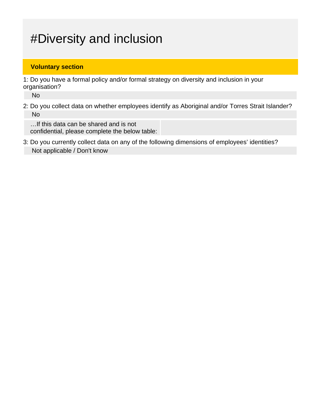# #Diversity and inclusion

#### **Voluntary section**

1: Do you have a formal policy and/or formal strategy on diversity and inclusion in your organisation?

No

2: Do you collect data on whether employees identify as Aboriginal and/or Torres Strait Islander? No

…If this data can be shared and is not confidential, please complete the below table:

3: Do you currently collect data on any of the following dimensions of employees' identities? Not applicable / Don't know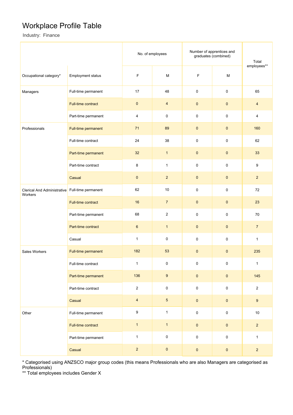### Workplace Profile Table

Industry: Finance

|                                        |                          | No. of employees |                | Number of apprentices and<br>graduates (combined) | Total<br>employees** |                  |
|----------------------------------------|--------------------------|------------------|----------------|---------------------------------------------------|----------------------|------------------|
| Occupational category*                 | <b>Employment status</b> | F                | M              | F                                                 |                      |                  |
| Managers                               | Full-time permanent      | 17               | 48             | $\mathsf 0$                                       | $\pmb{0}$            | 65               |
|                                        | Full-time contract       | $\pmb{0}$        | $\overline{4}$ | $\pmb{0}$                                         | $\pmb{0}$            | $\overline{4}$   |
|                                        | Part-time permanent      | 4                | $\pmb{0}$      | $\pmb{0}$                                         | $\pmb{0}$            | $\overline{4}$   |
| Professionals                          | Full-time permanent      | 71               | 89             | $\pmb{0}$                                         | $\pmb{0}$            | 160              |
|                                        | Full-time contract       | 24               | 38             | 0                                                 | $\pmb{0}$            | 62               |
|                                        | Part-time permanent      | 32               | $\mathbf{1}$   | $\mathbf 0$                                       | $\pmb{0}$            | 33               |
|                                        | Part-time contract       | 8                | $\mathbf{1}$   | $\mathsf 0$                                       | $\pmb{0}$            | 9                |
|                                        | Casual                   | $\pmb{0}$        | $\overline{2}$ | $\mathbf 0$                                       | $\pmb{0}$            | $\overline{2}$   |
| Clerical And Administrative<br>Workers | Full-time permanent      | 62               | 10             | 0                                                 | $\pmb{0}$            | 72               |
|                                        | Full-time contract       | 16               | $\overline{7}$ | $\pmb{0}$                                         | $\pmb{0}$            | 23               |
|                                        | Part-time permanent      | 68               | $\sqrt{2}$     | 0                                                 | $\pmb{0}$            | $70\,$           |
|                                        | Part-time contract       | $\boldsymbol{6}$ | $\mathbf{1}$   | $\pmb{0}$                                         | $\mathbf 0$          | $\overline{7}$   |
|                                        | Casual                   | $\mathbf{1}$     | $\mathsf 0$    | $\mathsf 0$                                       | $\pmb{0}$            | $\mathbf{1}$     |
| Sales Workers                          | Full-time permanent      | 182              | 53             | $\mathbf{0}$                                      | $\mathbf 0$          | 235              |
|                                        | Full-time contract       | $\mathbf{1}$     | $\pmb{0}$      | $\mathbf 0$                                       | $\mathbf 0$          | $\mathbf{1}$     |
|                                        | Part-time permanent      | 136              | $\overline{9}$ | $\pmb{0}$                                         | $\pmb{0}$            | 145              |
|                                        | Part-time contract       | $\overline{2}$   | $\mathbf 0$    | $\pmb{0}$                                         | $\mathbf 0$          | $\overline{2}$   |
|                                        | Casual                   | $\overline{4}$   | $\overline{5}$ | $\pmb{0}$                                         | $\pmb{0}$            | $\boldsymbol{9}$ |
| Other                                  | Full-time permanent      | 9                | $\mathbf{1}$   | $\pmb{0}$                                         | $\pmb{0}$            | $10\,$           |
|                                        | Full-time contract       | $\mathbf{1}$     | $\mathbf{1}$   | $\pmb{0}$                                         | $\pmb{0}$            | $\overline{2}$   |
|                                        | Part-time permanent      | $\mathbf{1}$     | $\mathbf 0$    | $\mathsf 0$                                       | $\mathsf{O}\xspace$  | $\mathbf{1}$     |
|                                        | Casual                   | $\overline{2}$   | $\pmb{0}$      | $\pmb{0}$                                         | $\pmb{0}$            | $\overline{2}$   |

\* Categorised using ANZSCO major group codes (this means Professionals who are also Managers are categorised as Professionals)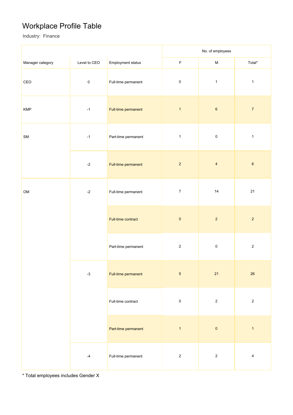### Workplace Profile Table

Industry: Finance

|                  |               | No. of employees    |                |                         |                         |
|------------------|---------------|---------------------|----------------|-------------------------|-------------------------|
| Manager category | Level to CEO  | Employment status   | $\mathsf F$    | ${\sf M}$               | Total*                  |
| CEO              | $\pmb{0}$     | Full-time permanent | $\pmb{0}$      | $\mathbf{1}$            | $\mathbf{1}$            |
| KMP              | $-1$          | Full-time permanent | $\mathbf{1}$   | $\,6\,$                 | $\overline{7}$          |
| ${\sf SM}$       | $-1$          | Part-time permanent | $\mathbf{1}$   | $\pmb{0}$               | $\mathbf 1$             |
|                  | $-2$          | Full-time permanent | $\overline{2}$ | $\overline{\mathbf{4}}$ | $\mathbf 6$             |
| OM               | $-2$          | Full-time permanent | $\overline{7}$ | $14$                    | 21                      |
|                  |               | Full-time contract  | $\pmb{0}$      | $\sqrt{2}$              | $\overline{2}$          |
|                  |               | Part-time permanent | $\sqrt{2}$     | $\pmb{0}$               | $\overline{2}$          |
|                  | $-3$          | Full-time permanent | $\overline{5}$ | 21                      | 26                      |
|                  |               | Full-time contract  | $\pmb{0}$      | $\sqrt{2}$              | $\overline{2}$          |
|                  |               | Part-time permanent | $\mathbf{1}$   | $\pmb{0}$               | $\mathbf{1}$            |
|                  | $\mathcal{A}$ | Full-time permanent | $\sqrt{2}$     | $\sqrt{2}$              | $\overline{\mathbf{4}}$ |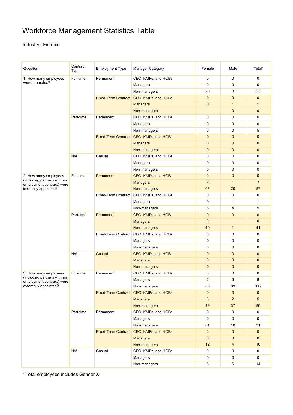## Workforce Management Statistics Table

#### Industry: Finance

| Question                                                 | Contract<br>Type | <b>Employment Type</b> | <b>Manager Category</b>                 | Female                         | Male           | Total*       |
|----------------------------------------------------------|------------------|------------------------|-----------------------------------------|--------------------------------|----------------|--------------|
| 1. How many employees<br>were promoted?                  | Full-time        | Permanent              | CEO, KMPs, and HOBs                     | $\mathbf 0$                    | $\mathbf 0$    | $\mathbf 0$  |
|                                                          |                  |                        | Managers                                | $\boldsymbol{0}$               | $\mathbf 0$    | 0            |
|                                                          |                  |                        | Non-managers                            | 20                             | 3              | 23           |
|                                                          |                  |                        | Fixed-Term Contract CEO, KMPs, and HOBs | $\mathbf{0}$                   | $\mathbf{0}$   | $\mathbf 0$  |
|                                                          |                  |                        | <b>Managers</b>                         | $\mathbf 0$                    | $\mathbf{1}$   | 1            |
|                                                          |                  |                        | Non-managers                            |                                | $\mathbf{0}$   | $\mathbf{0}$ |
|                                                          | Part-time        | Permanent              | CEO, KMPs, and HOBs                     | 0                              | $\mathbf 0$    | $\mathbf 0$  |
|                                                          |                  |                        | Managers                                | 0                              | $\mathbf 0$    | 0            |
|                                                          |                  |                        | Non-managers                            | 5                              | $\mathbf 0$    | 5            |
|                                                          |                  |                        | Fixed-Term Contract CEO, KMPs, and HOBs | $\overline{0}$                 | $\mathbf{0}$   | $\mathbf{0}$ |
|                                                          |                  |                        | <b>Managers</b>                         | $\overline{0}$                 | $\mathbf{0}$   | $\mathbf{0}$ |
|                                                          |                  |                        | Non-managers                            | $\mathbf 0$                    | $\mathbf{0}$   | $\mathbf{0}$ |
|                                                          | N/A              | Casual                 | CEO, KMPs, and HOBs                     | 0                              | $\mathbf 0$    | 0            |
|                                                          |                  |                        | Managers                                | $\mathbf 0$                    | 0              | 0            |
|                                                          |                  |                        | Non-managers                            | 0                              | 0              | $\mathbf 0$  |
| 2. How many employees                                    | Full-time        | Permanent              | CEO, KMPs, and HOBs                     | $\overline{0}$<br>$\mathbf{0}$ | $\mathbf{0}$   |              |
| (including partners with an<br>employment contract) were |                  |                        | <b>Managers</b>                         | $\overline{2}$                 | $\mathbf{1}$   | 3            |
| internally appointed?                                    |                  |                        | Non-managers                            | 67                             | 20             | 87           |
|                                                          |                  |                        | Fixed-Term Contract CEO, KMPs, and HOBs | $\mathbf 0$                    | $\mathbf 0$    | 0            |
|                                                          |                  |                        | Managers                                | $\mathbf 0$                    | $\mathbf{1}$   | $\mathbf{1}$ |
|                                                          |                  |                        | Non-managers                            | 5                              | $\overline{4}$ | 9            |
|                                                          | Part-time        | Permanent              | CEO, KMPs, and HOBs                     | $\mathbf 0$                    | $\mathbf{0}$   | $\mathbf{0}$ |
|                                                          |                  |                        | <b>Managers</b>                         | $\mathbf 0$                    |                | $\mathbf 0$  |
|                                                          |                  |                        | Non-managers                            | 40                             | $\mathbf{1}$   | 41           |
|                                                          |                  |                        | Fixed-Term Contract CEO, KMPs, and HOBs | $\mathbf 0$                    | 0              | 0            |
|                                                          |                  |                        | Managers                                | 0                              | $\mathbf 0$    | 0            |
|                                                          |                  |                        | Non-managers                            | 0                              | $\mathbf 0$    | $\mathbf 0$  |
|                                                          | N/A              | Casual                 | CEO, KMPs, and HOBs                     | $\mathbf 0$                    | $\mathbf{0}$   | $\mathbf{0}$ |
|                                                          |                  |                        | <b>Managers</b>                         | $\mathbf 0$                    | $\mathbf{0}$   | $\mathbf{0}$ |
|                                                          |                  |                        | Non-managers                            | $\mathbf 0$                    | $\mathbf{0}$   | $\mathbf 0$  |
| 3. How many employees                                    | Full-time        | Permanent              | CEO, KMPs, and HOBs                     | 0                              | 0              | 0            |
| (including partners with an                              |                  |                        | Managers                                | $\overline{2}$                 | 6              | 8            |
| employment contract) were<br>externally appointed?       |                  |                        | Non-managers                            | 80                             | 39             | 119          |
|                                                          |                  |                        | Fixed-Term Contract CEO, KMPs, and HOBs | $\mathbf 0$                    | $\pmb{0}$      | $\mathbf 0$  |
|                                                          |                  |                        | <b>Managers</b>                         | 3                              | $2^{\circ}$    | 5            |
|                                                          |                  |                        | Non-managers                            | 49                             | 37             | 86           |
|                                                          | Part-time        | Permanent              | CEO, KMPs, and HOBs                     | 0                              | 0              | $\mathbf 0$  |
|                                                          |                  |                        | Managers                                | $\pmb{0}$                      | 0              | $\mathbf 0$  |
|                                                          |                  |                        | Non-managers                            | 81                             | 10             | 91           |
|                                                          |                  |                        | Fixed-Term Contract CEO, KMPs, and HOBs | $\pmb{0}$                      | $\mathbf 0$    | $\mathbf{0}$ |
|                                                          |                  |                        | <b>Managers</b>                         | $\mathbf 0$                    | $\pmb{0}$      | $\mathbf{0}$ |
|                                                          |                  |                        | Non-managers                            | 12                             | $\overline{4}$ | 16           |
|                                                          | N/A              | Casual                 | CEO, KMPs, and HOBs                     | 0                              | 0              | $\mathbf 0$  |
|                                                          |                  |                        | Managers                                | 0                              | 0              | $\mathbf 0$  |
|                                                          |                  |                        | Non-managers                            | 8                              | 6              | 14           |
|                                                          |                  |                        |                                         |                                |                |              |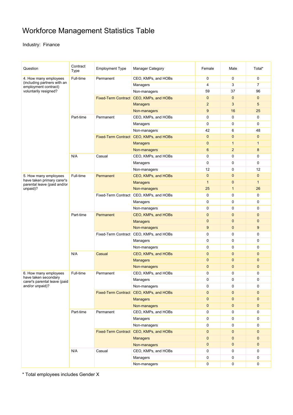## Workforce Management Statistics Table

#### Industry: Finance

| Question                                                                     | Contract<br>Type | <b>Employment Type</b>                                                                                 | <b>Manager Category</b>                 | Female                      | Male           | Total*         |
|------------------------------------------------------------------------------|------------------|--------------------------------------------------------------------------------------------------------|-----------------------------------------|-----------------------------|----------------|----------------|
| 4. How many employees<br>(including partners with an<br>employment contract) | Full-time        | Permanent                                                                                              | CEO, KMPs, and HOBs                     | 0                           | $\mathbf 0$    | $\mathbf 0$    |
|                                                                              |                  |                                                                                                        | Managers                                | 4                           | 3              | $\overline{7}$ |
| voluntarily resigned?                                                        |                  |                                                                                                        | Non-managers                            | 59                          | 37             | 96             |
|                                                                              |                  |                                                                                                        | Fixed-Term Contract CEO, KMPs, and HOBs | $\overline{0}$              | $\mathbf{0}$   | $\mathbf{0}$   |
|                                                                              |                  |                                                                                                        | <b>Managers</b>                         | $\overline{2}$              | 3              | 5              |
|                                                                              |                  |                                                                                                        | Non-managers                            | 9                           | 16             | 25             |
|                                                                              | Part-time        | Permanent                                                                                              | CEO, KMPs, and HOBs                     | 0                           | $\mathbf 0$    | 0              |
|                                                                              |                  |                                                                                                        | Managers                                | $\mathbf 0$                 | $\mathbf 0$    | 0              |
|                                                                              |                  |                                                                                                        | Non-managers                            | 42                          | 6              | 48             |
|                                                                              |                  |                                                                                                        | Fixed-Term Contract CEO, KMPs, and HOBs | $\mathbf{0}$                | $\mathbf{0}$   | $\mathbf{0}$   |
|                                                                              |                  |                                                                                                        | <b>Managers</b>                         | $\mathbf 0$                 | $\mathbf{1}$   | 1              |
|                                                                              |                  |                                                                                                        | Non-managers                            | 6                           | $\overline{2}$ | 8              |
|                                                                              | N/A              | Casual                                                                                                 | CEO, KMPs, and HOBs                     | 0                           | $\mathbf 0$    | 0              |
|                                                                              |                  |                                                                                                        | Managers                                | $\mathbf 0$                 | $\mathbf 0$    | $\mathbf 0$    |
|                                                                              |                  |                                                                                                        | Non-managers                            | 12                          | $\mathbf 0$    | 12             |
| 5. How many employees                                                        | Full-time        | Permanent                                                                                              | CEO, KMPs, and HOBs                     | $\mathbf 0$<br>$\mathbf{0}$ | $\mathbf{0}$   |                |
| have taken primary carer's                                                   |                  |                                                                                                        | <b>Managers</b>                         | $\overline{1}$              | $\mathbf{0}$   | $\mathbf{1}$   |
| parental leave (paid and/or<br>unpaid)?                                      |                  |                                                                                                        | Non-managers                            | 25                          | $\mathbf{1}$   | 26             |
|                                                                              |                  |                                                                                                        | Fixed-Term Contract CEO, KMPs, and HOBs | $\mathbf 0$                 | $\mathbf 0$    | $\mathbf 0$    |
|                                                                              |                  |                                                                                                        | Managers                                | $\mathbf 0$                 | 0              | 0              |
|                                                                              |                  |                                                                                                        | Non-managers                            | 0                           | $\mathbf 0$    | 0              |
|                                                                              | Part-time        | Permanent                                                                                              | CEO, KMPs, and HOBs                     | $\mathbf 0$                 | $\mathbf{0}$   | $\mathbf{0}$   |
|                                                                              |                  | <b>Managers</b><br>Non-managers<br>Fixed-Term Contract CEO, KMPs, and HOBs<br>Managers<br>Non-managers |                                         | $\mathbf 0$                 | $\mathbf{0}$   | $\mathbf{0}$   |
|                                                                              |                  |                                                                                                        |                                         | 9                           | $\mathbf{0}$   | 9              |
|                                                                              |                  |                                                                                                        |                                         | 0                           | 0              | 0              |
|                                                                              |                  |                                                                                                        |                                         | $\mathbf 0$                 | $\mathbf 0$    | 0              |
|                                                                              |                  |                                                                                                        |                                         | 0                           | $\mathbf 0$    | $\mathbf 0$    |
|                                                                              |                  | Casual                                                                                                 | CEO, KMPs, and HOBs                     | $\mathbf 0$                 | $\mathbf{0}$   | $\mathbf{0}$   |
|                                                                              | N/A              |                                                                                                        | <b>Managers</b>                         | $\mathbf{0}$                | $\mathbf{0}$   | $\mathbf{0}$   |
|                                                                              |                  |                                                                                                        | Non-managers                            | $\mathbf 0$                 | $\mathbf 0$    | $\mathbf 0$    |
| 6. How many employees                                                        |                  | Permanent                                                                                              |                                         | 0                           | 0              | 0              |
| have taken secondary                                                         | Full-time        |                                                                                                        | CEO, KMPs, and HOBs                     |                             |                |                |
| carer's parental leave (paid                                                 |                  |                                                                                                        | Managers                                | 0                           | $\mathbf 0$    | $\mathbf 0$    |
| and/or unpaid)?                                                              |                  |                                                                                                        | Non-managers                            | 0                           | 0              | 0              |
|                                                                              |                  |                                                                                                        | Fixed-Term Contract CEO, KMPs, and HOBs | $\mathbf 0$                 | $\mathbf{0}$   | $\mathbf 0$    |
|                                                                              |                  |                                                                                                        | <b>Managers</b>                         | 0                           | $\mathbf{0}$   | $\mathbf 0$    |
|                                                                              |                  |                                                                                                        | Non-managers                            | $\pmb{0}$                   | $\mathbf 0$    | $\mathbf{0}$   |
|                                                                              | Part-time        | Permanent                                                                                              | CEO, KMPs, and HOBs                     | 0                           | 0              | 0              |
|                                                                              |                  |                                                                                                        | Managers                                | 0                           | 0              | $\mathbf 0$    |
|                                                                              |                  |                                                                                                        | Non-managers                            | $\boldsymbol{0}$            | 0              | 0              |
|                                                                              |                  |                                                                                                        | Fixed-Term Contract CEO, KMPs, and HOBs | 0                           | $\mathbf 0$    | $\mathbf 0$    |
|                                                                              |                  |                                                                                                        | <b>Managers</b>                         | 0                           | $\mathbf{0}$   | $\mathbf 0$    |
|                                                                              |                  |                                                                                                        | Non-managers                            | 0                           | $\mathbf 0$    | $\mathbf 0$    |
|                                                                              | N/A              | Casual                                                                                                 | CEO, KMPs, and HOBs                     | 0                           | 0              | $\mathbf 0$    |
|                                                                              |                  |                                                                                                        | Managers                                | 0                           | 0              | $\mathbf 0$    |
|                                                                              |                  |                                                                                                        | Non-managers                            | $\pmb{0}$                   | 0              | 0              |